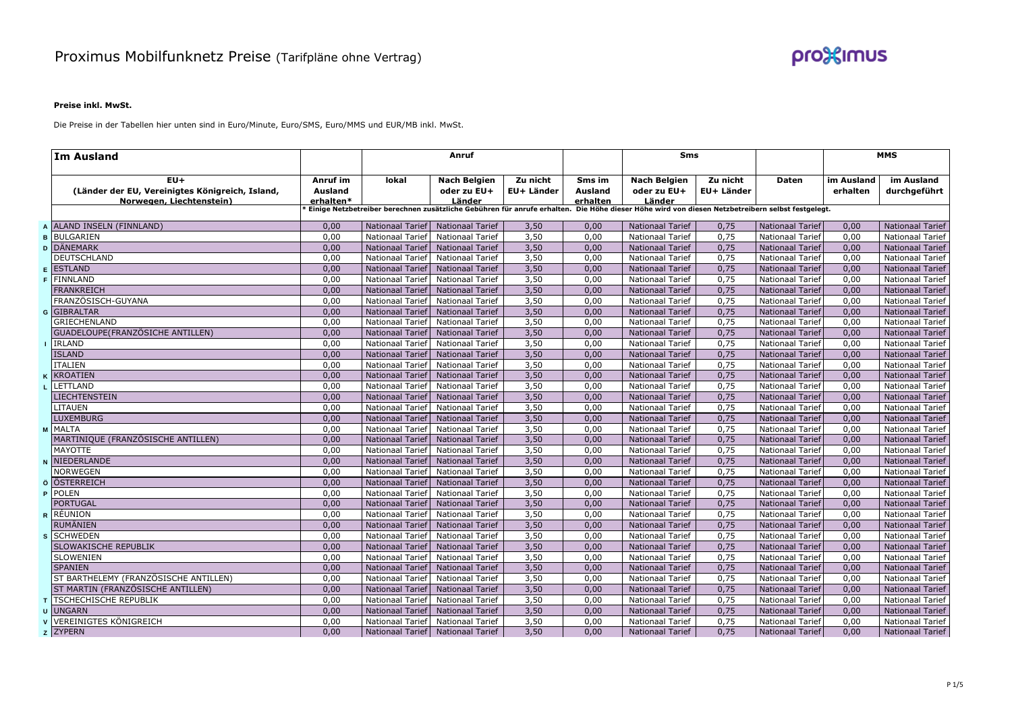

## **Preise inkl. MwSt.**

Die Preise in der Tabellen hier unten sind in Euro/Minute, Euro/SMS, Euro/MMS und EUR/MB inkl. MwSt.

| <b>Im Ausland</b>                               |           | Anruf                   |                                     |            |          | <b>Sms</b>                                                                                                                                      |            |                         | <b>MMS</b> |                         |
|-------------------------------------------------|-----------|-------------------------|-------------------------------------|------------|----------|-------------------------------------------------------------------------------------------------------------------------------------------------|------------|-------------------------|------------|-------------------------|
| $EU+$                                           | Anruf im  | lokal                   | <b>Nach Belgien</b>                 | Zu nicht   | Sms im   | <b>Nach Belgien</b>                                                                                                                             | Zu nicht   | Daten                   | im Ausland | im Ausland              |
| (Länder der EU, Vereinigtes Königreich, Island, | Ausland   |                         | oder zu EU+                         | EU+ Länder | Ausland  | oder zu EU+                                                                                                                                     | EU+ Länder |                         | erhalten   | durchgeführt            |
| Norwegen, Liechtenstein)                        | erhalten* |                         | Länder                              |            | erhalten | Länder                                                                                                                                          |            |                         |            |                         |
|                                                 |           |                         |                                     |            |          | Einige Netzbetreiber berechnen zusätzliche Gebühren für anrufe erhalten. Die Höhe dieser Höhe wird von diesen Netzbetreibern selbst festgelegt. |            |                         |            |                         |
| A ALAND INSELN (FINNLAND)                       | 0,00      | Nationaal Tarief        | <b>Nationaal Tarief</b>             | 3,50       | 0,00     | <b>Nationaal Tarief</b>                                                                                                                         | 0,75       | <b>Nationaal Tarief</b> | 0,00       | <b>Nationaal Tarief</b> |
| <b>B</b> BULGARIEN                              | 0,00      | Nationaal Tarief        | Nationaal Tarief                    | 3,50       | 0,00     | <b>Nationaal Tarief</b>                                                                                                                         | 0,75       | <b>Nationaal Tarief</b> | 0,00       | <b>Nationaal Tarief</b> |
| <b>D</b> DÄNEMARK                               | 0,00      | Nationaal Tarief        | <b>Nationaal Tarief</b>             | 3,50       | 0,00     | <b>Nationaal Tarief</b>                                                                                                                         | 0,75       | <b>Nationaal Tarief</b> | 0,00       | <b>Nationaal Tarief</b> |
| <b>DEUTSCHLAND</b>                              | 0,00      | Nationaal Tarief        | Nationaal Tarief                    | 3,50       | 0,00     | Nationaal Tarief                                                                                                                                | 0,75       | Nationaal Tarief        | 0,00       | Nationaal Tarief        |
| E ESTLAND                                       | 0,00      | Nationaal Tarief        | <b>Nationaal Tarief</b>             | 3,50       | 0,00     | <b>Nationaal Tarief</b>                                                                                                                         | 0,75       | <b>Nationaal Tarief</b> | 0,00       | <b>Nationaal Tarief</b> |
| <b>F</b> FINNLAND                               | 0,00      | Nationaal Tarief        | <b>Nationaal Tarief</b>             | 3,50       | 0,00     | <b>Nationaal Tarief</b>                                                                                                                         | 0,75       | <b>Nationaal Tarief</b> | 0,00       | Nationaal Tarief        |
| <b>FRANKREICH</b>                               | 0.00      | <b>Nationaal Tarief</b> | <b>Nationaal Tarief</b>             | 3,50       | 0.00     | <b>Nationaal Tarief</b>                                                                                                                         | 0,75       | <b>Nationaal Tarief</b> | 0,00       | <b>Nationaal Tarief</b> |
| FRANZÖSISCH-GUYANA                              | 0,00      | <b>Nationaal Tarief</b> | Nationaal Tarief                    | 3,50       | 0,00     | Nationaal Tarief                                                                                                                                | 0,75       | <b>Nationaal Tarief</b> | 0,00       | <b>Nationaal Tarief</b> |
| <b>G</b> GIBRALTAR                              | 0,00      | Nationaal Tarief        | <b>Nationaal Tarief</b>             | 3,50       | 0,00     | <b>Nationaal Tarief</b>                                                                                                                         | 0,75       | <b>Nationaal Tarief</b> | 0,00       | <b>Nationaal Tarief</b> |
| <b>GRIECHENLAND</b>                             | 0,00      | Nationaal Tarief        | Nationaal Tarief                    | 3,50       | 0,00     | <b>Nationaal Tarief</b>                                                                                                                         | 0,75       | <b>Nationaal Tarief</b> | 0,00       | Nationaal Tarief        |
| GUADELOUPE(FRANZÖSICHE ANTILLEN)                | 0,00      | Nationaal Tarief        | <b>Nationaal Tarief</b>             | 3,50       | 0,00     | <b>Nationaal Tarief</b>                                                                                                                         | 0,75       | <b>Nationaal Tarief</b> | 0,00       | <b>Nationaal Tarief</b> |
| <b>I</b> IRLAND                                 | 0.00      | Nationaal Tarief        | Nationaal Tarief                    | 3,50       | 0,00     | <b>Nationaal Tarief</b>                                                                                                                         | 0,75       | <b>Nationaal Tarief</b> | 0,00       | Nationaal Tarief        |
| <b>ISLAND</b>                                   | 0,00      | Nationaal Tarief        | <b>Nationaal Tarief</b>             | 3,50       | 0,00     | <b>Nationaal Tarief</b>                                                                                                                         | 0,75       | <b>Nationaal Tarief</b> | 0,00       | <b>Nationaal Tarief</b> |
| <b>ITALIEN</b>                                  | 0,00      | Nationaal Tarief        | <b>Nationaal Tarief</b>             | 3,50       | 0,00     | <b>Nationaal Tarief</b>                                                                                                                         | 0,75       | <b>Nationaal Tarief</b> | 0,00       | <b>Nationaal Tarief</b> |
| <b>K KROATIEN</b>                               | 0,00      | Nationaal Tarief        | <b>Nationaal Tarief</b>             | 3,50       | 0,00     | <b>Nationaal Tarief</b>                                                                                                                         | 0,75       | <b>Nationaal Tarief</b> | 0,00       | <b>Nationaal Tarief</b> |
| L LETTLAND                                      | 0,00      | Nationaal Tarief        | Nationaal Tarief                    | 3,50       | 0,00     | Nationaal Tarief                                                                                                                                | 0,75       | Nationaal Tarief        | 0,00       | Nationaal Tarief        |
| <b>LIECHTENSTEIN</b>                            | 0,00      | Nationaal Tarief        | <b>Nationaal Tarief</b>             | 3,50       | 0,00     | <b>Nationaal Tarief</b>                                                                                                                         | 0,75       | <b>Nationaal Tarief</b> | 0,00       | <b>Nationaal Tarief</b> |
| <b>LITAUEN</b>                                  | 0,00      | Nationaal Tarief        | Nationaal Tarief                    | 3,50       | 0,00     | <b>Nationaal Tarief</b>                                                                                                                         | 0,75       | <b>Nationaal Tarief</b> | 0,00       | Nationaal Tarief        |
| <b>LUXEMBURG</b>                                | 0,00      | <b>Nationaal Tarief</b> | <b>Nationaal Tarief</b>             | 3,50       | 0.00     | <b>Nationaal Tarief</b>                                                                                                                         | 0,75       | <b>Nationaal Tarief</b> | 0,00       | <b>Nationaal Tarief</b> |
| M MALTA                                         | 0,00      | Nationaal Tarief        | <b>Nationaal Tarief</b>             | 3,50       | 0,00     | Nationaal Tarief                                                                                                                                | 0,75       | <b>Nationaal Tarief</b> | 0,00       | Nationaal Tarief        |
| MARTINIQUE (FRANZÖSISCHE ANTILLEN)              | 0,00      | Nationaal Tarief        | Nationaal Tarief                    | 3,50       | 0,00     | <b>Nationaal Tarief</b>                                                                                                                         | 0,75       | <b>Nationaal Tarief</b> | 0,00       | <b>Nationaal Tarief</b> |
| <b>MAYOTTE</b>                                  | 0,00      | Nationaal Tarief        | <b>Nationaal Tarief</b>             | 3,50       | 0,00     | <b>Nationaal Tarief</b>                                                                                                                         | 0,75       | <b>Nationaal Tarief</b> | 0,00       | Nationaal Tarief        |
| N NIEDERLANDE                                   | 0,00      | Nationaal Tarief        | <b>Nationaal Tarief</b>             | 3,50       | 0,00     | <b>Nationaal Tarief</b>                                                                                                                         | 0,75       | <b>Nationaal Tarief</b> | 0,00       | <b>Nationaal Tarief</b> |
| <b>NORWEGEN</b>                                 | 0,00      | Nationaal Tarief        | <b>Nationaal Tarief</b>             | 3,50       | 0,00     | Nationaal Tarief                                                                                                                                | 0,75       | <b>Nationaal Tarief</b> | 0,00       | Nationaal Tarief        |
| <b>ÖSTERREICH</b>                               | 0,00      | <b>Nationaal Tarief</b> | <b>Nationaal Tarief</b>             | 3,50       | 0,00     | <b>Nationaal Tarief</b>                                                                                                                         | 0,75       | <b>Nationaal Tarief</b> | 0,00       | <b>Nationaal Tarief</b> |
| <b>P</b> POLEN                                  | 0,00      | Nationaal Tarief        | <b>Nationaal Tarief</b>             | 3,50       | 0,00     | Nationaal Tarief                                                                                                                                | 0,75       | <b>Nationaal Tarief</b> | 0,00       | Nationaal Tarief        |
| <b>PORTUGAL</b>                                 | 0,00      | <b>Nationaal Tarief</b> | <b>Nationaal Tarief</b>             | 3,50       | 0,00     | <b>Nationaal Tarief</b>                                                                                                                         | 0,75       | <b>Nationaal Tarief</b> | 0,00       | <b>Nationaal Tarief</b> |
| R RÉUNION                                       | 0,00      | Nationaal Tarief        | <b>Nationaal Tarief</b>             | 3,50       | 0,00     | <b>Nationaal Tarief</b>                                                                                                                         | 0,75       | <b>Nationaal Tarief</b> | 0,00       | Nationaal Tarief        |
| <b>RUMÄNIEN</b>                                 | 0,00      | <b>Nationaal Tarief</b> | <b>Nationaal Tarief</b>             | 3,50       | 0,00     | <b>Nationaal Tarief</b>                                                                                                                         | 0,75       | <b>Nationaal Tarief</b> | 0,00       | <b>Nationaal Tarief</b> |
| s SCHWEDEN                                      | 0,00      | Nationaal Tarief        | <b>Nationaal Tarief</b>             | 3,50       | 0,00     | <b>Nationaal Tarief</b>                                                                                                                         | 0,75       | <b>Nationaal Tarief</b> | 0,00       | Nationaal Tarief        |
| <b>SLOWAKISCHE REPUBLIK</b>                     | 0,00      | <b>Nationaal Tarief</b> | <b>Nationaal Tarief</b>             | 3,50       | 0,00     | <b>Nationaal Tarief</b>                                                                                                                         | 0,75       | <b>Nationaal Tarief</b> | 0,00       | <b>Nationaal Tarief</b> |
| <b>SLOWENIEN</b>                                | 0,00      | <b>Nationaal Tarief</b> | Nationaal Tarief                    | 3,50       | 0,00     | <b>Nationaal Tarief</b>                                                                                                                         | 0,75       | <b>Nationaal Tarief</b> | 0,00       | Nationaal Tarief        |
| <b>SPANIEN</b>                                  | 0,00      | <b>Nationaal Tarief</b> | <b>Nationaal Tarief</b>             | 3,50       | 0,00     | <b>Nationaal Tarief</b>                                                                                                                         | 0,75       | <b>Nationaal Tarief</b> | 0,00       | <b>Nationaal Tarief</b> |
| ST BARTHELEMY (FRANZÖSISCHE ANTILLEN)           | 0,00      | Nationaal Tarief        | <b>Nationaal Tarief</b>             | 3,50       | 0.00     | <b>Nationaal Tarief</b>                                                                                                                         | 0,75       | Nationaal Tarief        | 0,00       | <b>Nationaal Tarief</b> |
| ST MARTIN (FRANZÖSISCHE ANTILLEN)               | 0,00      | <b>Nationaal Tarief</b> | <b>Nationaal Tarief</b>             | 3,50       | 0,00     | <b>Nationaal Tarief</b>                                                                                                                         | 0,75       | <b>Nationaal Tarief</b> | 0,00       | <b>Nationaal Tarief</b> |
| T TSCHECHISCHE REPUBLIK                         | 0,00      | Nationaal Tarief        | <b>Nationaal Tarief</b>             | 3,50       | 0.00     | Nationaal Tarief                                                                                                                                | 0,75       | <b>Nationaal Tarief</b> | 0,00       | <b>Nationaal Tarief</b> |
| <b>u</b> UNGARN                                 | 0,00      | Nationaal Tarief        | <b>Nationaal Tarief</b>             | 3,50       | 0,00     | <b>Nationaal Tarief</b>                                                                                                                         | 0,75       | <b>Nationaal Tarief</b> | 0,00       | <b>Nationaal Tarief</b> |
| <b>v VEREINIGTES KÖNIGREICH</b>                 | 0,00      | Nationaal Tarief        | <b>Nationaal Tarief</b>             | 3,50       | 0,00     | <b>Nationaal Tarief</b>                                                                                                                         | 0,75       | <b>Nationaal Tarief</b> | 0,00       | <b>Nationaal Tarief</b> |
| z ZYPERN                                        | 0,00      |                         | Nationaal Tarief   Nationaal Tarief | 3,50       | 0,00     | <b>Nationaal Tarief</b>                                                                                                                         | 0,75       | <b>Nationaal Tarief</b> | 0,00       | <b>Nationaal Tarief</b> |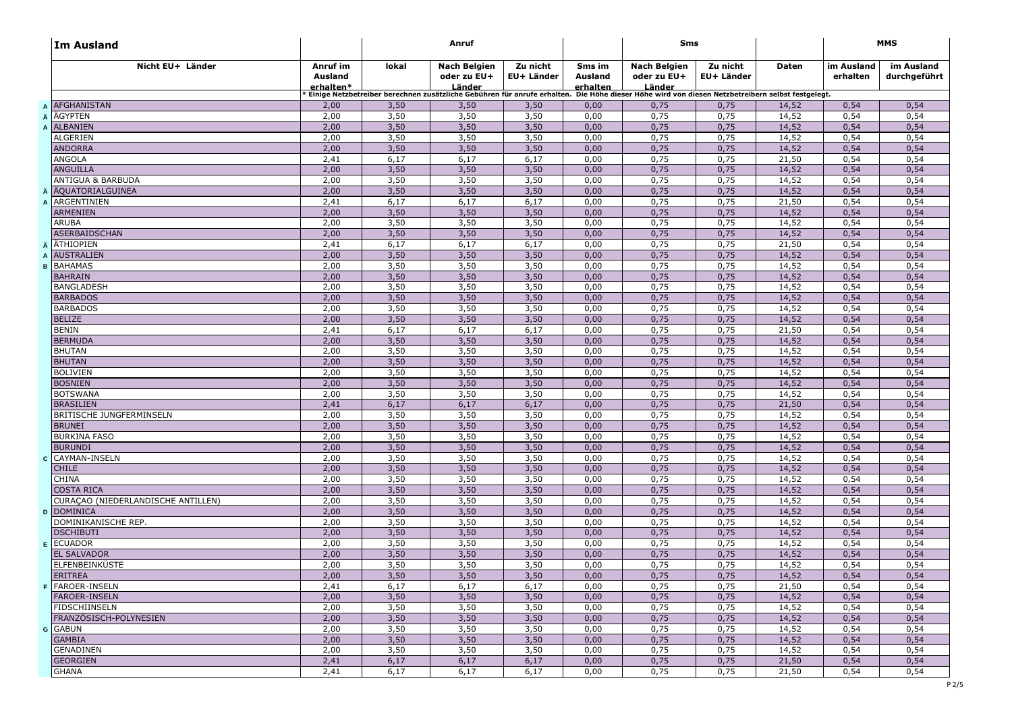| <b>Im Ausland</b>                    |                                  |              | Anruf                                                                                                                                           |                        |                                      | Sms                                          |                        |                | <b>MMS</b>             |                            |
|--------------------------------------|----------------------------------|--------------|-------------------------------------------------------------------------------------------------------------------------------------------------|------------------------|--------------------------------------|----------------------------------------------|------------------------|----------------|------------------------|----------------------------|
| Nicht EU+ Länder                     | Anruf im<br>Ausland<br>erhalten* | lokal        | Nach Belgien<br>oder zu EU+<br><u>Länder</u>                                                                                                    | Zu nicht<br>EU+ Länder | Sms im<br><b>Ausland</b><br>erhalten | Nach Belgien<br>oder zu EU+<br><u>Länder</u> | Zu nicht<br>EU+ Länder | Daten          | im Ausland<br>erhalten | im Ausland<br>durchgeführt |
|                                      |                                  |              | Einige Netzbetreiber berechnen zusätzliche Gebühren für anrufe erhalten. Die Höhe dieser Höhe wird von diesen Netzbetreibern selbst festgelegt. |                        |                                      |                                              |                        |                |                        |                            |
| <b>A AFGHANISTAN</b>                 | 2,00                             | 3,50         | 3,50                                                                                                                                            | 3,50                   | 0,00                                 | 0,75                                         | 0,75                   | 14,52          | 0,54                   | 0,54                       |
| <b>AGYPTEN</b>                       | 2,00                             | 3,50         | 3,50                                                                                                                                            | 3,50                   | 0,00                                 | 0,75                                         | 0,75                   | 14,52          | 0,54                   | 0,54                       |
| <b>ALBANIEN</b>                      | 2,00                             | 3,50         | 3,50                                                                                                                                            | 3,50                   | 0,00                                 | 0,75                                         | 0,75                   | 14,52          | 0,54                   | 0,54                       |
| <b>ALGERIEN</b>                      | 2,00                             | 3,50         | 3,50                                                                                                                                            | 3,50                   | 0,00                                 | 0,75                                         | 0,75                   | 14,52          | 0,54                   | 0,54                       |
| <b>ANDORRA</b>                       | 2,00                             | 3,50         | 3,50                                                                                                                                            | 3,50                   | 0,00                                 | 0,75                                         | 0,75                   | 14,52          | 0,54                   | 0,54                       |
| <b>ANGOLA</b>                        | 2,41                             | 6,17         | 6,17                                                                                                                                            | 6,17                   | 0,00                                 | 0,75                                         | 0,75                   | 21,50          | 0,54                   | 0,54                       |
| <b>ANGUILLA</b>                      | 2,00                             | 3,50         | 3,50                                                                                                                                            | 3,50                   | 0,00                                 | 0,75                                         | 0,75                   | 14,52          | 0,54                   | 0,54                       |
| ANTIGUA & BARBUDA                    | 2,00                             | 3,50         | 3,50                                                                                                                                            | 3,50                   | 0,00                                 | 0,75                                         | 0,75                   | 14,52          | 0,54                   | 0,54<br>0,54               |
| <b>ÄQUATORIALGUINEA</b>              | 2,00                             | 3,50         | 3,50                                                                                                                                            | 3,50                   | 0,00                                 | 0,75                                         | 0,75                   | 14,52          | 0,54                   |                            |
| A ARGENTINIEN                        | 2,41                             | 6,17         | 6,17                                                                                                                                            | 6,17                   | 0,00                                 | 0,75                                         | 0,75                   | 21,50          | 0,54                   | 0,54                       |
| <b>ARMENIEN</b>                      | 2,00                             | 3,50         | 3,50                                                                                                                                            | 3,50                   | 0,00                                 | 0,75                                         | 0,75                   | 14,52          | 0,54                   | 0,54                       |
| <b>ARUBA</b>                         | 2,00                             | 3,50         | 3,50                                                                                                                                            | 3,50                   | 0,00                                 | 0,75                                         | 0,75                   | 14,52          | 0,54                   | 0,54                       |
| ASERBAIDSCHAN                        | 2,00                             | 3,50         | 3,50                                                                                                                                            | 3,50                   | 0,00                                 | 0,75                                         | 0,75                   | 14,52          | 0,54                   | 0,54                       |
| <b>Ä</b> ATHIOPIEN                   | 2,41                             | 6,17         | 6,17                                                                                                                                            | 6,17                   | 0,00                                 | 0,75                                         | 0,75                   | 21,50          | 0,54                   | 0,54                       |
| <b>AUSTRALIEN</b><br>A               | 2,00                             | 3,50         | 3,50                                                                                                                                            | 3,50                   | 0,00                                 | 0,75                                         | 0,75                   | 14,52          | 0,54                   | 0,54                       |
| BAHAMAS<br>B                         | 2,00                             | 3,50         | 3,50                                                                                                                                            | 3,50                   | 0,00                                 | 0,75                                         | 0,75                   | 14,52          | 0,54                   | 0,54                       |
| <b>BAHRAIN</b>                       | 2,00                             | 3,50         | 3,50                                                                                                                                            | 3,50                   | 0,00                                 | 0,75                                         | 0,75                   | 14,52          | 0,54                   | 0,54                       |
| <b>BANGLADESH</b>                    | 2,00                             | 3,50         | 3,50                                                                                                                                            | 3,50                   | 0,00                                 | 0,75                                         | 0,75                   | 14,52          | 0,54                   | 0,54                       |
| <b>BARBADOS</b>                      | 2,00                             | 3,50         | 3,50                                                                                                                                            | 3,50                   | 0,00                                 | 0,75                                         | 0,75                   | 14,52          | 0,54                   | 0,54                       |
| <b>BARBADOS</b>                      | 2,00                             | 3,50         | 3,50                                                                                                                                            | 3,50                   | 0,00                                 | 0,75                                         | 0,75                   | 14,52          | 0,54                   | 0,54                       |
| <b>BELIZE</b>                        | 2,00                             | 3,50         | 3,50                                                                                                                                            | 3,50                   | 0,00                                 | 0,75                                         | 0,75                   | 14,52          | 0,54                   | 0,54                       |
| <b>BENIN</b>                         | 2,41                             | 6,17         | 6,17                                                                                                                                            | 6,17                   | 0,00                                 | 0,75                                         | 0,75                   | 21,50          | 0,54                   | 0,54                       |
| <b>BERMUDA</b>                       | 2,00                             | 3,50         | 3,50                                                                                                                                            | 3,50                   | 0,00                                 | 0,75                                         | 0,75                   | 14,52          | 0,54                   | 0,54                       |
| <b>BHUTAN</b>                        | 2,00                             | 3,50         | 3,50                                                                                                                                            | 3,50                   | 0,00                                 | 0,75                                         | 0,75                   | 14,52          | 0,54                   | 0,54                       |
| <b>BHUTAN</b>                        | 2,00                             | 3,50         | 3,50                                                                                                                                            | 3,50                   | 0,00                                 | 0,75                                         | 0,75                   | 14,52          | 0,54                   | 0,54                       |
| <b>BOLIVIEN</b>                      | 2,00                             | 3,50         | 3,50                                                                                                                                            | 3,50                   | 0,00                                 | 0,75                                         | 0,75                   | 14,52          | 0,54                   | 0,54                       |
| <b>BOSNIEN</b>                       | 2,00                             | 3,50         | 3,50                                                                                                                                            | 3,50                   | 0,00                                 | 0,75                                         | 0,75                   | 14,52          | 0,54                   | 0,54                       |
| <b>BOTSWANA</b><br><b>BRASILIEN</b>  | 2,00                             | 3,50         | 3,50                                                                                                                                            | 3,50                   | 0,00                                 | 0,75                                         | 0,75                   | 14,52          | 0,54                   | 0,54                       |
|                                      | 2,41                             | 6,17<br>3,50 | 6,17                                                                                                                                            | 6,17                   | 0,00                                 | 0,75<br>0,75                                 | 0,75<br>0,75           | 21,50<br>14,52 | 0,54                   | 0,54                       |
| BRITISCHE JUNGFERMINSELN             | 2,00                             |              | 3,50                                                                                                                                            | 3,50                   | 0,00                                 |                                              |                        |                | 0,54                   | 0,54                       |
| <b>BRUNEI</b><br><b>BURKINA FASO</b> | 2,00<br>2,00                     | 3,50<br>3,50 | 3,50<br>3,50                                                                                                                                    | 3,50<br>3,50           | 0,00<br>0,00                         | 0,75<br>0,75                                 | 0,75<br>0,75           | 14,52<br>14,52 | 0,54<br>0,54           | 0,54<br>0,54               |
| <b>BURUNDI</b>                       | 2,00                             |              | 3,50                                                                                                                                            |                        |                                      |                                              |                        |                |                        |                            |
|                                      |                                  | 3,50         |                                                                                                                                                 | 3,50                   | 0,00                                 | 0,75                                         | 0,75                   | 14,52          | 0,54                   | 0,54<br>0,54               |
| <b>c</b> CAYMAN-INSELN               | 2,00<br>2,00                     | 3,50         | 3,50<br>3,50                                                                                                                                    | 3,50<br>3,50           | 0,00                                 | 0,75<br>0,75                                 | 0,75                   | 14,52          | 0,54                   | 0,54                       |
| <b>CHILE</b><br><b>CHINA</b>         | 2,00                             | 3,50<br>3,50 | 3,50                                                                                                                                            | 3,50                   | 0,00<br>0,00                         | 0,75                                         | 0,75<br>0,75           | 14,52<br>14,52 | 0,54<br>0,54           | 0,54                       |
| <b>COSTA RICA</b>                    | 2,00                             | 3,50         | 3,50                                                                                                                                            | 3,50                   | 0,00                                 | 0,75                                         | 0,75                   | 14,52          | 0,54                   | 0,54                       |
| CURAÇÃO (NIEDERLANDISCHE ANTILLEN)   | 2,00                             | 3,50         | 3,50                                                                                                                                            | 3,50                   | 0,00                                 | 0,75                                         | 0,75                   | 14,52          | 0,54                   | 0,54                       |
| <b>D</b> DOMINICA                    | 2,00                             | 3,50         | 3,50                                                                                                                                            | 3,50                   | 0,00                                 | 0,75                                         | 0,75                   | 14,52          | 0,54                   | 0,54                       |
| DOMINIKANISCHE REP.                  | 2,00                             | 3,50         | 3,50                                                                                                                                            | 3,50                   | 0,00                                 | 0,75                                         | 0,75                   | 14,52          | 0,54                   | 0,54                       |
| <b>DSCHIBUTI</b>                     | 2,00                             | 3,50         | 3,50                                                                                                                                            | 3,50                   | 0,00                                 | 0,75                                         | 0,75                   | 14,52          | 0,54                   | 0,54                       |
| <b>E</b> ECUADOR                     | 2,00                             | 3,50         | 3,50                                                                                                                                            | 3,50                   | 0,00                                 | 0,75                                         | 0,75                   | 14,52          | 0,54                   | 0,54                       |
| <b>EL SALVADOR</b>                   | 2,00                             | 3,50         | 3,50                                                                                                                                            | 3,50                   | 0,00                                 | 0,75                                         | 0,75                   | 14,52          | 0,54                   | 0,54                       |
| <b>ELFENBEINKÜSTE</b>                | 2,00                             | 3,50         | 3,50                                                                                                                                            | 3,50                   | 0,00                                 | 0,75                                         | 0,75                   | 14,52          | 0,54                   | 0,54                       |
| ERITREA                              | 2,00                             | 3,50         | 3,50                                                                                                                                            | 3,50                   | 0,00                                 | 0,75                                         | 0,75                   | 14,52          | 0,54                   | 0,54                       |
| F FAROER-INSELN                      |                                  |              |                                                                                                                                                 |                        |                                      |                                              |                        |                |                        |                            |
| <b>FAROER-INSELN</b>                 | 2,41<br>2,00                     | 6,17<br>3,50 | 6,17<br>3,50                                                                                                                                    | 6,17<br>3,50           | 0,00<br>0,00                         | 0,75<br>0,75                                 | 0,75<br>0,75           | 21,50<br>14,52 | 0,54<br>0,54           | 0,54<br>0,54               |
| FIDSCHIINSELN                        | 2,00                             |              |                                                                                                                                                 |                        |                                      |                                              |                        |                |                        |                            |
| FRANZÖSISCH-POLYNESIEN               | 2,00                             | 3,50<br>3,50 | 3,50<br>3,50                                                                                                                                    | 3,50<br>3,50           | 0,00<br>0,00                         | 0,75<br>0,75                                 | 0,75<br>0,75           | 14,52<br>14,52 | 0,54<br>0,54           | 0,54<br>0,54               |
| <b>G</b> GABUN                       | 2,00                             | 3,50         | 3,50                                                                                                                                            | 3,50                   |                                      | 0,75                                         | 0,75                   | 14,52          |                        | 0,54                       |
| <b>GAMBIA</b>                        |                                  |              |                                                                                                                                                 |                        | 0,00                                 |                                              |                        |                | 0,54                   | 0,54                       |
| <b>GENADINEN</b>                     | 2,00                             | 3,50         | 3,50                                                                                                                                            | 3,50                   | 0,00                                 | 0,75                                         | 0,75                   | 14,52          | 0,54                   |                            |
|                                      | 2,00                             | 3,50         | 3,50                                                                                                                                            | 3,50                   | 0,00                                 | 0,75                                         | 0,75                   | 14,52          | 0,54                   | 0,54                       |
| <b>GEORGIEN</b>                      | 2,41                             | 6,17         | 6,17                                                                                                                                            | 6,17                   | 0,00                                 | 0,75                                         | 0,75                   | 21,50          | 0,54                   | 0,54                       |
| <b>GHANA</b>                         | 2,41                             | 6,17         | 6,17                                                                                                                                            | 6,17                   | 0,00                                 | 0,75                                         | 0,75                   | 21,50          | 0,54                   | 0,54                       |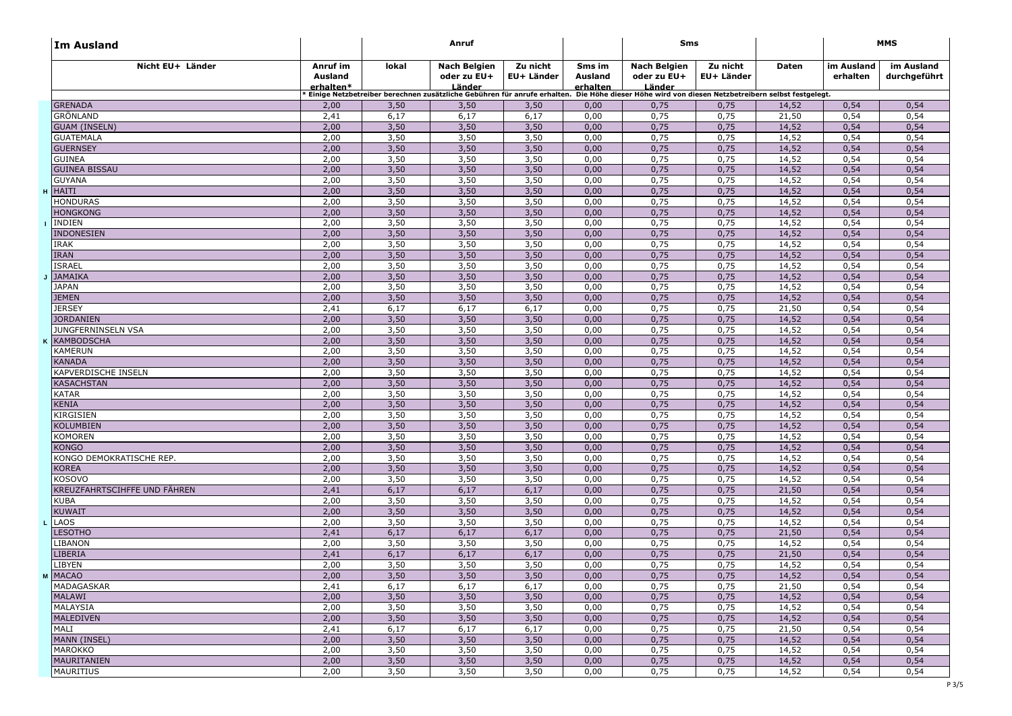| ∣Im Ausland                          |                                  | Anruf |                                                                                                                                                 |                        |                               | Sms                                          |                        |       | MMS                    |                            |
|--------------------------------------|----------------------------------|-------|-------------------------------------------------------------------------------------------------------------------------------------------------|------------------------|-------------------------------|----------------------------------------------|------------------------|-------|------------------------|----------------------------|
| Nicht EU+ Länder                     | Anruf im<br>Ausland<br>erhalten* | lokal | Nach Belgien<br>oder zu EU+<br>Länder                                                                                                           | Zu nicht<br>EU+ Länder | Sms im<br>Ausland<br>erhalten | <b>Nach Belgien</b><br>oder zu EU+<br>Länder | Zu nicht<br>EU+ Länder | Daten | im Ausland<br>erhalten | im Ausland<br>durchgeführt |
|                                      |                                  |       | Einige Netzbetreiber berechnen zusätzliche Gebühren für anrufe erhalten. Die Höhe dieser Höhe wird von diesen Netzbetreibern selbst festgelegt. |                        |                               |                                              |                        |       |                        |                            |
| <b>GRENADA</b>                       | 2,00                             | 3,50  | 3,50                                                                                                                                            | 3,50                   | 0,00                          | 0,75                                         | 0,75                   | 14,52 | 0,54                   | 0,54                       |
| <b>GRÖNLAND</b>                      | 2,41                             | 6,17  | 6,17                                                                                                                                            | 6,17                   | 0,00                          | 0,75                                         | 0,75                   | 21,50 | 0,54                   | 0,54                       |
| <b>GUAM (INSELN)</b>                 | 2,00                             | 3,50  | 3,50                                                                                                                                            | 3,50                   | 0,00                          | 0,75                                         | 0,75                   | 14,52 | 0,54                   | 0,54                       |
| <b>GUATEMALA</b>                     | 2,00                             | 3,50  | 3,50                                                                                                                                            | 3,50                   | 0,00                          | 0,75                                         | 0,75                   | 14,52 | 0,54                   | 0,54                       |
| <b>GUERNSEY</b>                      | 2,00                             | 3,50  | 3,50                                                                                                                                            | 3,50                   | 0,00                          | 0,75                                         | 0,75                   | 14,52 | 0,54                   | 0,54                       |
| <b>GUINEA</b>                        | 2,00                             | 3,50  | 3,50                                                                                                                                            | 3,50                   | 0,00                          | 0,75                                         | 0,75                   | 14,52 | 0,54                   | 0,54                       |
| <b>GUINEA BISSAU</b>                 | 2,00                             | 3,50  | 3,50                                                                                                                                            | 3,50                   | 0,00                          | 0,75                                         | 0,75                   | 14,52 | 0,54                   | 0,54                       |
| <b>GUYANA</b>                        | 2,00                             | 3,50  | 3,50                                                                                                                                            | 3,50                   | 0,00                          | 0,75                                         | 0,75                   | 14,52 | 0,54                   | 0,54                       |
| <b>HAITI</b>                         | 2,00                             | 3,50  | 3,50                                                                                                                                            | 3,50                   | 0,00                          | 0,75                                         | 0,75                   | 14,52 | 0,54                   | 0,54                       |
| <b>HONDURAS</b>                      | 2,00                             | 3,50  | 3,50                                                                                                                                            | 3,50                   | 0,00                          | 0,75                                         | 0,75                   | 14,52 | 0,54                   | 0,54                       |
| <b>HONGKONG</b>                      | 2,00                             | 3,50  | 3,50                                                                                                                                            | 3,50                   | 0,00                          | 0,75                                         | 0,75                   | 14,52 | 0,54                   | 0,54                       |
| <b>INDIEN</b>                        | 2,00                             | 3,50  | 3,50                                                                                                                                            | 3,50                   | 0,00                          | 0,75                                         | 0,75                   | 14,52 | 0,54                   | 0,54                       |
| <b>INDONESIEN</b>                    | 2,00                             | 3,50  | 3,50                                                                                                                                            | 3,50                   | 0,00                          | 0,75                                         | 0,75                   | 14,52 | 0,54                   | 0,54                       |
| <b>IRAK</b>                          | 2,00                             | 3,50  | 3,50                                                                                                                                            | 3,50                   | 0,00                          | 0,75                                         | 0,75                   | 14,52 | 0,54                   | 0,54                       |
| <b>IRAN</b>                          | 2,00                             | 3,50  | 3,50                                                                                                                                            | 3,50                   | 0,00                          | 0,75                                         | 0,75                   | 14,52 | 0,54                   | 0,54                       |
| <b>ISRAEL</b>                        | 2,00                             | 3,50  | 3,50                                                                                                                                            | 3,50                   | 0,00                          | 0,75                                         | 0,75                   | 14,52 | 0,54                   | 0,54                       |
| <b>JAMAIKA</b>                       | 2,00                             | 3,50  | 3,50                                                                                                                                            | 3,50                   | 0,00                          | 0,75                                         | 0,75                   | 14,52 | 0,54                   | 0,54                       |
| <b>JAPAN</b>                         | 2,00                             | 3,50  | 3,50                                                                                                                                            | 3,50                   | 0,00                          | 0,75                                         | 0,75                   | 14,52 | 0,54                   | 0,54                       |
| <b>JEMEN</b>                         | 2,00                             | 3,50  | 3,50                                                                                                                                            | 3,50                   | 0,00                          | 0,75                                         | 0,75                   | 14,52 | 0,54                   | 0,54                       |
| <b>JERSEY</b>                        | 2,41                             | 6,17  | 6,17                                                                                                                                            | 6,17                   | 0,00                          | 0,75                                         | 0,75                   | 21,50 | 0,54                   | 0,54                       |
| <b>JORDANIEN</b>                     | 2,00                             | 3,50  | 3,50                                                                                                                                            | 3,50                   | 0,00                          | 0,75                                         | 0,75                   | 14,52 | 0,54                   | 0,54                       |
| JUNGFERNINSELN VSA                   | 2,00                             | 3,50  | 3,50                                                                                                                                            | 3,50                   | 0,00                          | 0,75                                         | 0,75                   | 14,52 | 0,54                   | 0,54                       |
| <b>KAMBODSCHA</b>                    | 2,00                             | 3,50  | 3,50                                                                                                                                            | 3,50                   | 0,00                          | 0,75                                         | 0,75                   | 14,52 | 0,54                   | 0,54                       |
| <b>KAMERUN</b>                       | 2,00                             | 3,50  | 3,50                                                                                                                                            | 3,50                   | 0,00                          | 0,75                                         | 0,75                   | 14,52 | 0,54                   | 0,54                       |
| <b>KANADA</b>                        | 2,00                             | 3,50  | 3,50                                                                                                                                            | 3,50                   | 0,00                          | 0,75                                         | 0,75                   | 14,52 | 0,54                   | 0,54                       |
| <b>KAPVERDISCHE INSELN</b>           | 2,00                             | 3,50  | 3,50                                                                                                                                            | 3,50                   | 0,00                          | 0,75                                         | 0,75                   | 14,52 | 0,54                   | 0,54                       |
| <b>KASACHSTAN</b>                    | 2,00                             | 3,50  | 3,50                                                                                                                                            | 3,50                   | 0,00                          | 0,75                                         | 0,75                   | 14,52 | 0,54                   | 0,54                       |
| <b>KATAR</b>                         | 2,00                             | 3,50  | 3,50                                                                                                                                            | 3,50                   | 0,00                          | 0,75                                         | 0,75                   | 14,52 | 0,54                   | 0,54                       |
| <b>KENIA</b>                         | 2,00                             | 3,50  | 3,50                                                                                                                                            | 3,50                   | 0,00                          | 0,75                                         | 0,75                   | 14,52 | 0,54                   | 0,54                       |
| <b>KIRGISIEN</b>                     | 2,00                             | 3,50  | 3,50                                                                                                                                            | 3,50                   | 0,00                          | 0,75                                         | 0,75                   | 14,52 | 0,54                   | 0,54                       |
| <b>KOLUMBIEN</b>                     | 2,00                             | 3,50  | 3,50                                                                                                                                            | 3,50                   | 0,00                          | 0,75                                         | 0,75                   | 14,52 | 0,54                   | 0,54                       |
| <b>KOMOREN</b>                       | 2,00                             | 3,50  | 3,50                                                                                                                                            | 3,50                   | 0,00                          | 0,75                                         | 0,75                   | 14,52 | 0,54                   | 0,54                       |
| <b>KONGO</b>                         | 2,00                             | 3,50  | 3,50                                                                                                                                            | 3,50                   | 0,00                          | 0,75                                         | 0,75                   | 14,52 | 0,54                   | 0,54                       |
| KONGO DEMOKRATISCHE REP.             | 2,00                             | 3,50  | 3,50                                                                                                                                            | 3,50                   | 0,00                          | 0,75                                         | 0,75                   | 14,52 | 0,54                   | 0,54                       |
| <b>KOREA</b>                         | 2,00                             | 3,50  | 3,50                                                                                                                                            | 3,50                   | 0,00                          | 0,75                                         | 0,75                   | 14,52 | 0,54                   | 0,54                       |
| <b>KOSOVO</b>                        | 2,00                             | 3,50  | 3,50                                                                                                                                            | 3,50                   | 0,00                          | 0,75                                         | 0,75                   | 14,52 | 0,54                   | 0,54                       |
| KREUZFAHRTSCIHFFE UND FÄHREN         | 2,41                             | 6,17  | 6,17                                                                                                                                            | 6,17                   | 0,00                          | 0,75                                         | 0,75                   | 21,50 | 0,54                   | 0,54                       |
| <b>KUBA</b>                          | 2,00                             | 3,50  | 3,50                                                                                                                                            | 3,50                   | 0,00                          | 0,75                                         | 0,75                   | 14,52 | 0,54                   | 0,54                       |
| <b>KUWAIT</b>                        | 2,00                             | 3,50  | 3,50                                                                                                                                            | 3,50                   | 0,00                          | 0,75                                         | 0,75                   | 14,52 | 0,54                   | 0,54                       |
| <b>LAOS</b>                          | 2,00                             | 3,50  | 3,50                                                                                                                                            | 3,50                   | 0,00                          | 0,75                                         | 0,75                   | 14,52 | 0,54                   | 0,54                       |
| <b>LESOTHO</b>                       | 2,41                             | 6,17  | 6,17                                                                                                                                            | 6,17                   | 0,00                          | 0,75                                         | 0,75                   | 21,50 | 0,54                   | 0,54                       |
| <b>LIBANON</b>                       | 2,00                             | 3,50  | 3,50                                                                                                                                            | 3,50                   | 0,00                          | 0,75                                         | 0,75                   | 14,52 | 0,54                   | 0,54                       |
| LIBERIA                              | 2,41                             | 6,17  | 6,17                                                                                                                                            | 6,17                   | 0,00                          | 0,75                                         | 0,75                   | 21,50 | 0,54                   | 0,54                       |
| <b>IBYEN</b>                         | 2,00                             | 3,50  | 3,50                                                                                                                                            | 3,50                   | 0,00                          | 0,75                                         | 0,75                   | 14,52 | 0,54                   | 0,54                       |
| <b>MACAO</b>                         | 2,00                             | 3,50  | 3,50                                                                                                                                            | 3,50                   | 0,00                          | 0,75                                         | 0,75                   | 14,52 | 0,54                   | 0,54                       |
| MADAGASKAR                           | 2,41                             | 6,17  | 6,17                                                                                                                                            | 6,17                   | 0,00                          | 0,75                                         | 0,75                   | 21,50 | 0,54                   | 0,54                       |
| <b>MALAWI</b>                        | 2,00                             | 3,50  | 3,50                                                                                                                                            | 3,50                   | 0,00                          | 0,75                                         | 0,75                   | 14,52 | 0,54                   | 0,54                       |
| MALAYSIA                             | 2,00                             | 3,50  | 3,50                                                                                                                                            | 3,50                   | 0,00                          | 0,75                                         | 0,75                   | 14,52 | 0,54                   | 0,54                       |
| <b>MALEDIVEN</b>                     | 2,00                             | 3,50  | 3,50                                                                                                                                            | 3,50                   | 0,00                          | 0,75                                         | 0,75                   | 14,52 | 0,54                   | 0,54                       |
| MALI                                 | 2,41                             | 6,17  | 6,17                                                                                                                                            | 6,17                   | 0,00                          | 0,75                                         | 0,75                   | 21,50 | 0,54                   | 0,54                       |
| <b>MANN (INSEL)</b>                  | 2,00                             | 3,50  | 3,50                                                                                                                                            | 3,50                   | 0,00                          | 0,75                                         | 0,75                   | 14,52 | 0,54                   | 0,54                       |
| <b>MAROKKO</b><br><b>MAURITANIEN</b> | 2,00                             | 3,50  | 3,50                                                                                                                                            | 3,50                   | 0,00                          | 0,75                                         | 0,75                   | 14,52 | 0,54                   | 0,54                       |
|                                      | 2,00                             | 3,50  | 3,50                                                                                                                                            | 3,50                   | 0,00                          | 0,75                                         | 0,75                   | 14,52 | 0,54                   | 0,54                       |
| <b>MAURITIUS</b>                     | 2,00                             | 3,50  | 3,50                                                                                                                                            | 3,50                   | 0,00                          | 0,75                                         | 0,75                   | 14,52 | 0,54                   | 0,54                       |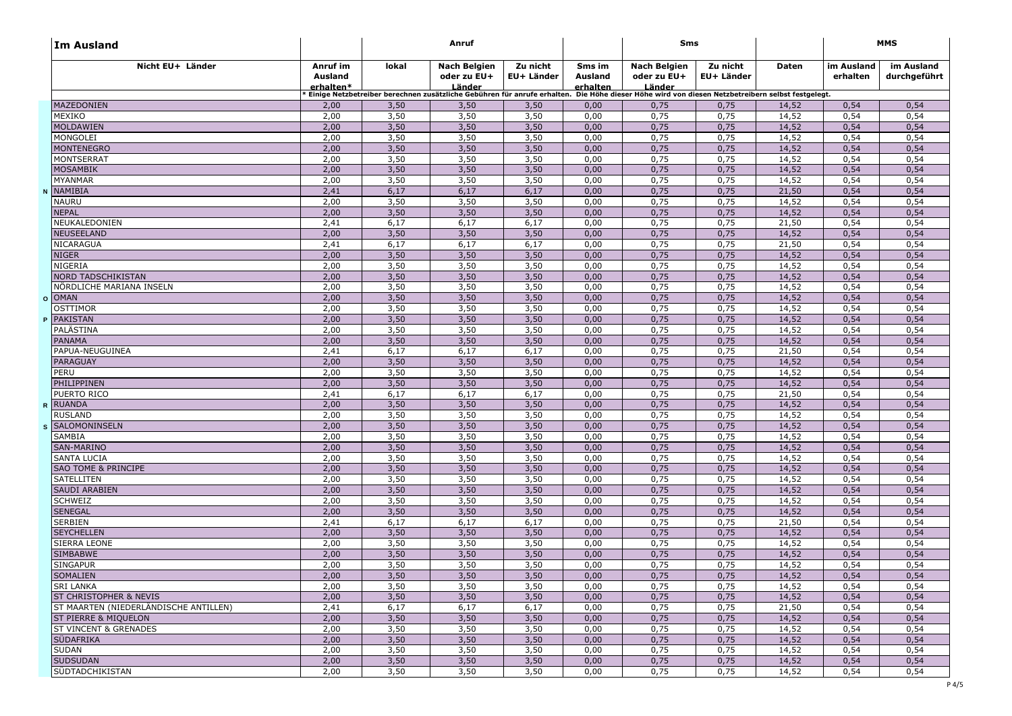| ∣Im Ausland                           |                                  | Anruf |                                                                                                                                                 |                        |                               | Sms                                          |                        |       | MMS                    |                            |
|---------------------------------------|----------------------------------|-------|-------------------------------------------------------------------------------------------------------------------------------------------------|------------------------|-------------------------------|----------------------------------------------|------------------------|-------|------------------------|----------------------------|
| Nicht EU+ Länder                      | Anruf im<br>Ausland<br>erhalten* | lokal | Nach Belgien<br>oder zu EU+<br>Länder                                                                                                           | Zu nicht<br>EU+ Länder | Sms im<br>Ausland<br>erhalten | <b>Nach Belgien</b><br>oder zu EU+<br>Länder | Zu nicht<br>EU+ Länder | Daten | im Ausland<br>erhalten | im Ausland<br>durchgeführt |
|                                       |                                  |       | Einige Netzbetreiber berechnen zusätzliche Gebühren für anrufe erhalten. Die Höhe dieser Höhe wird von diesen Netzbetreibern selbst festgelegt. |                        |                               |                                              |                        |       |                        |                            |
| <b>MAZEDONIEN</b>                     | 2,00                             | 3,50  | 3,50                                                                                                                                            | 3,50                   | 0,00                          | 0,75                                         | 0,75                   | 14,52 | 0,54                   | 0,54                       |
| MEXIKO                                | 2,00                             | 3,50  | 3,50                                                                                                                                            | 3,50                   | 0,00                          | 0,75                                         | 0,75                   | 14,52 | 0,54                   | 0,54                       |
| <b>MOLDAWIEN</b>                      | 2,00                             | 3,50  | 3,50                                                                                                                                            | 3,50                   | 0,00                          | 0,75                                         | 0,75                   | 14,52 | 0,54                   | 0,54                       |
| MONGOLEI                              | 2,00                             | 3,50  | 3,50                                                                                                                                            | 3,50                   | 0,00                          | 0,75                                         | 0,75                   | 14,52 | 0,54                   | 0,54                       |
| <b>MONTENEGRO</b>                     | 2,00                             | 3,50  | 3,50                                                                                                                                            | 3,50                   | 0,00                          | 0,75                                         | 0,75                   | 14,52 | 0,54                   | 0,54                       |
| <b>MONTSERRAT</b>                     | 2,00                             | 3,50  | 3,50                                                                                                                                            | 3,50                   | 0,00                          | 0,75                                         | 0,75                   | 14,52 | 0,54                   | 0,54                       |
| <b>MOSAMBIK</b>                       | 2,00                             | 3,50  | 3,50                                                                                                                                            | 3,50                   | 0,00                          | 0,75                                         | 0,75                   | 14,52 | 0,54                   | 0,54                       |
| <b>MYANMAR</b>                        | 2,00                             | 3,50  | 3,50                                                                                                                                            | 3,50                   | 0,00                          | 0,75                                         | 0,75                   | 14,52 | 0,54                   | 0,54                       |
| NAMIBIA                               | 2,41                             | 6,17  | 6,17                                                                                                                                            | 6,17                   | 0,00                          | 0,75                                         | 0,75                   | 21,50 | 0,54                   | 0,54                       |
| <b>NAURU</b>                          | 2,00                             | 3,50  | 3,50                                                                                                                                            | 3,50                   | 0,00                          | 0,75                                         | 0,75                   | 14,52 | 0,54                   | 0,54                       |
| <b>NEPAL</b>                          | 2,00                             | 3,50  | 3,50                                                                                                                                            | 3,50                   | 0,00                          | 0,75                                         | 0,75                   | 14,52 | 0,54                   | 0,54                       |
| NEUKALEDONIEN                         | 2,41                             | 6,17  | 6,17                                                                                                                                            | 6,17                   | 0,00                          | 0,75                                         | 0,75                   | 21,50 | 0,54                   | 0,54                       |
| <b>NEUSEELAND</b>                     | 2,00                             | 3,50  | 3,50                                                                                                                                            | 3,50                   | 0,00                          | 0,75                                         | 0,75                   | 14,52 | 0,54                   | 0,54                       |
| <b>NICARAGUA</b>                      | 2,41                             | 6,17  | 6,17                                                                                                                                            | 6,17                   | 0,00                          | 0,75                                         | 0,75                   | 21,50 | 0,54                   | 0,54                       |
| <b>NIGER</b>                          | 2,00                             | 3,50  | 3,50                                                                                                                                            | 3,50                   | 0,00                          | 0,75                                         | 0,75                   | 14,52 | 0,54                   | 0,54                       |
| <b>NIGERIA</b>                        | 2,00                             | 3,50  | 3,50                                                                                                                                            | 3,50                   | 0,00                          | 0,75                                         | 0,75                   | 14,52 | 0,54                   | 0,54                       |
| <b>NORD TADSCHIKISTAN</b>             | 2,00                             | 3,50  | 3,50                                                                                                                                            | 3,50                   | 0,00                          | 0,75                                         | 0,75                   | 14,52 | 0,54                   | 0,54                       |
| NÖRDLICHE MARIANA INSELN              | 2,00                             | 3,50  | 3,50                                                                                                                                            | 3,50                   | 0,00                          | 0,75                                         | 0,75                   | 14,52 | 0,54                   | 0,54                       |
| <b>OMAN</b>                           | 2,00                             | 3,50  | 3,50                                                                                                                                            | 3,50                   | 0,00                          | 0,75                                         | 0,75                   | 14,52 | 0,54                   | 0,54                       |
| OSTTIMOR                              | 2,00                             | 3,50  | 3,50                                                                                                                                            | 3,50                   | 0,00                          | 0,75                                         | 0,75                   | 14,52 | 0,54                   | 0,54                       |
| <b>PAKISTAN</b>                       | 2,00                             | 3,50  | 3,50                                                                                                                                            | 3,50                   | 0,00                          | 0,75                                         | 0,75                   | 14,52 | 0,54                   | 0,54                       |
| PALÄSTINA                             | 2,00                             | 3,50  | 3,50                                                                                                                                            | 3,50                   | 0,00                          | 0,75                                         | 0,75                   | 14,52 | 0,54                   | 0,54                       |
| <b>PANAMA</b>                         | 2,00                             | 3,50  | 3,50                                                                                                                                            | 3,50                   | 0,00                          | 0,75                                         | 0,75                   | 14,52 | 0,54                   | 0,54                       |
|                                       |                                  | 6,17  |                                                                                                                                                 | 6,17                   |                               |                                              |                        | 21,50 |                        | 0,54                       |
| PAPUA-NEUGUINEA                       | 2,41                             |       | 6,17                                                                                                                                            |                        | 0,00                          | 0,75                                         | 0,75                   |       | 0,54                   |                            |
| <b>PARAGUAY</b>                       | 2,00                             | 3,50  | 3,50                                                                                                                                            | 3,50                   | 0,00                          | 0,75                                         | 0,75                   | 14,52 | 0,54                   | 0,54                       |
| PERU                                  | 2,00                             | 3,50  | 3,50                                                                                                                                            | 3,50                   | 0,00                          | 0,75                                         | 0,75                   | 14,52 | 0,54                   | 0,54                       |
| PHILIPPINEN                           | 2,00                             | 3,50  | 3,50                                                                                                                                            | 3,50                   | 0,00                          | 0,75                                         | 0,75                   | 14,52 | 0,54                   | 0,54                       |
| PUERTO RICO                           | 2,41                             | 6,17  | 6,17                                                                                                                                            | 6,17                   | 0,00                          | 0,75                                         | 0,75                   | 21,50 | 0,54                   | 0,54                       |
| <b>RUANDA</b>                         | 2,00                             | 3,50  | 3,50                                                                                                                                            | 3,50                   | 0,00                          | 0,75                                         | 0,75                   | 14,52 | 0,54                   | 0,54                       |
| <b>RUSLAND</b>                        | 2,00                             | 3,50  | 3,50                                                                                                                                            | 3,50                   | 0,00                          | 0,75                                         | 0,75                   | 14,52 | 0,54                   | 0,54                       |
| SALOMONINSELN                         | 2,00                             | 3,50  | 3,50                                                                                                                                            | 3,50                   | 0,00                          | 0,75                                         | 0,75                   | 14,52 | 0,54                   | 0,54                       |
| <b>SAMBIA</b>                         | 2,00                             | 3,50  | 3,50                                                                                                                                            | 3,50                   | 0,00                          | 0,75                                         | 0,75                   | 14,52 | 0,54                   | 0,54                       |
| <b>SAN-MARINO</b>                     | 2,00                             | 3,50  | 3,50                                                                                                                                            | 3,50                   | 0,00                          | 0,75                                         | 0,75                   | 14,52 | 0,54                   | 0,54                       |
| <b>SANTA LUCIA</b>                    | 2,00                             | 3,50  | 3,50                                                                                                                                            | 3,50                   | 0,00                          | 0,75                                         | 0,75                   | 14,52 | 0,54                   | 0,54                       |
| <b>SAO TOME &amp; PRINCIPE</b>        | 2,00                             | 3,50  | 3,50                                                                                                                                            | 3,50                   | 0,00                          | 0,75                                         | 0,75                   | 14,52 | 0,54                   | 0,54                       |
| <b>SATELLITEN</b>                     | 2,00                             | 3,50  | 3,50                                                                                                                                            | 3,50                   | 0,00                          | 0,75                                         | 0,75                   | 14,52 | 0,54                   | 0,54                       |
| <b>SAUDI ARABIEN</b>                  | 2,00                             | 3,50  | 3,50                                                                                                                                            | 3,50                   | 0,00                          | 0,75                                         | 0,75                   | 14,52 | 0,54                   | 0,54                       |
| <b>SCHWEIZ</b>                        | 2,00                             | 3,50  | 3,50                                                                                                                                            | 3,50                   | 0,00                          | 0,75                                         | 0,75                   | 14,52 | 0,54                   | 0,54                       |
| <b>SENEGAL</b>                        | 2,00                             | 3,50  | 3,50                                                                                                                                            | 3,50                   | 0,00                          | 0,75                                         | 0,75                   | 14,52 | 0,54                   | 0,54                       |
| <b>SERBIEN</b>                        | 2,41                             | 6,17  | 6,17                                                                                                                                            | 6,17                   | 0,00                          | 0,75                                         | 0,75                   | 21,50 | 0,54                   | 0,54                       |
| <b>SEYCHELLEN</b>                     | 2,00                             | 3,50  | 3,50                                                                                                                                            | 3,50                   | 0,00                          | 0,75                                         | 0,75                   | 14,52 | 0,54                   | 0,54                       |
| <b>SIERRA LEONE</b>                   | 2,00                             | 3,50  | 3,50                                                                                                                                            | 3,50                   | 0,00                          | 0,75                                         | 0,75                   | 14,52 | 0,54                   | 0,54                       |
| <b>SIMBABWE</b>                       | 2,00                             | 3,50  | 3,50                                                                                                                                            | 3,50                   | 0,00                          | 0,75                                         | 0,75                   | 14,52 | 0,54                   | 0,54                       |
| <b>SINGAPUR</b>                       | 2,00                             | 3,50  | 3,50                                                                                                                                            | 3,50                   | 0,00                          | 0,75                                         | 0,75                   | 14,52 | 0,54                   | 0,54                       |
| <b>SOMALIEN</b>                       | 2,00                             | 3,50  | 3,50                                                                                                                                            | 3,50                   | 0,00                          | 0,75                                         | 0,75                   | 14,52 | 0,54                   | 0,54                       |
| <b>SRI LANKA</b>                      | 2,00                             | 3,50  | 3,50                                                                                                                                            | 3,50                   | 0,00                          | 0,75                                         | 0,75                   | 14,52 | 0,54                   | 0,54                       |
| <b>ST CHRISTOPHER &amp; NEVIS</b>     | 2,00                             | 3,50  | 3,50                                                                                                                                            | 3,50                   | 0,00                          | 0,75                                         | 0,75                   | 14,52 | 0,54                   | 0,54                       |
| ST MAARTEN (NIEDERLÄNDISCHE ANTILLEN) | 2,41                             | 6,17  | 6,17                                                                                                                                            | 6,17                   | 0,00                          | 0,75                                         | 0,75                   | 21,50 | 0,54                   | 0,54                       |
| <b>ST PIERRE &amp; MIQUELON</b>       | 2,00                             | 3,50  | 3,50                                                                                                                                            | 3,50                   | 0,00                          | 0,75                                         | 0,75                   | 14,52 | 0,54                   | 0,54                       |
| <b>ST VINCENT &amp; GRENADES</b>      | 2,00                             | 3,50  | 3,50                                                                                                                                            | 3,50                   | 0,00                          | 0,75                                         | 0,75                   | 14,52 | 0,54                   | 0,54                       |
| <b>SÜDAFRIKA</b>                      | 2,00                             | 3,50  | 3,50                                                                                                                                            | 3,50                   | 0,00                          | 0,75                                         | 0,75                   | 14,52 | 0,54                   | 0,54                       |
| <b>SUDAN</b>                          | 2,00                             | 3,50  | 3,50                                                                                                                                            | 3,50                   | 0,00                          | 0,75                                         | 0,75                   | 14,52 | 0,54                   | 0,54                       |
| <b>SUDSUDAN</b>                       | 2,00                             | 3,50  | 3,50                                                                                                                                            | 3,50                   | 0,00                          | 0,75                                         | 0,75                   | 14,52 | 0,54                   | 0,54                       |
| SÜDTADCHIKISTAN                       | 2,00                             | 3,50  | 3,50                                                                                                                                            | 3,50                   | 0,00                          | 0,75                                         | 0,75                   | 14,52 | 0,54                   | 0,54                       |